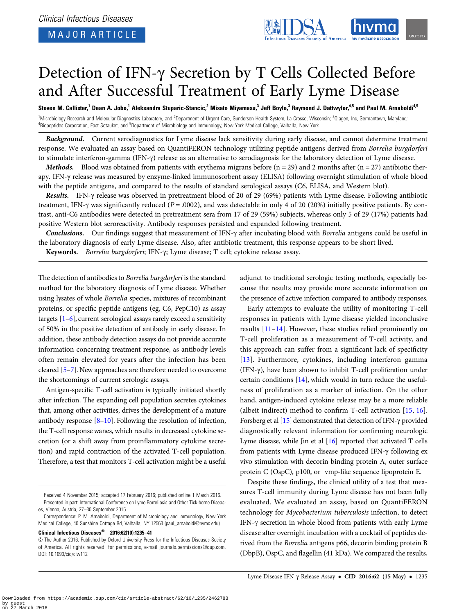

# Detection of IFN-γ Secretion by T Cells Collected Before and After Successful Treatment of Early Lyme Disease

Steven M. Callister,<sup>1</sup> Dean A. Jobe,<sup>1</sup> Aleksandra Stuparic-Stancic,<sup>2</sup> Misato Miyamasu,<sup>3</sup> Jeff Boyle,<sup>3</sup> Raymond J. Dattwyler,<sup>4,5</sup> and Paul M. Arnaboldi<sup>4,5</sup>

<sup>1</sup>Microbiology Research and Molecular Diagnostics Laboratory, and <sup>2</sup>Department of Urgent Care, Gundersen Health System, La Crosse, Wisconsin; <sup>3</sup>Qiagen, Inc, Germantown, Maryland; <sup>4</sup>Biopeptides Corporation, East Setauket, and <sup>5</sup>Department of Microbiology and Immunology, New York Medical College, Valhalla, New York

Background. Current serodiagnostics for Lyme disease lack sensitivity during early disease, and cannot determine treatment response. We evaluated an assay based on QuantiFERON technology utilizing peptide antigens derived from Borrelia burgdorferi to stimulate interferon-gamma (IFN-γ) release as an alternative to serodiagnosis for the laboratory detection of Lyme disease.

**Methods.** Blood was obtained from patients with erythema migrans before ( $n = 29$ ) and 2 months after ( $n = 27$ ) antibiotic therapy. IFN-γ release was measured by enzyme-linked immunosorbent assay (ELISA) following overnight stimulation of whole blood with the peptide antigens, and compared to the results of standard serological assays (C6, ELISA, and Western blot).

Results. IFN-γ release was observed in pretreatment blood of 20 of 29 (69%) patients with Lyme disease. Following antibiotic treatment, IFN-γ was significantly reduced ( $P = .0002$ ), and was detectable in only 4 of 20 (20%) initially positive patients. By contrast, anti-C6 antibodies were detected in pretreatment sera from 17 of 29 (59%) subjects, whereas only 5 of 29 (17%) patients had positive Western blot seroreactivity. Antibody responses persisted and expanded following treatment.

Conclusions. Our findings suggest that measurement of IFN-γ after incubating blood with Borrelia antigens could be useful in the laboratory diagnosis of early Lyme disease. Also, after antibiotic treatment, this response appears to be short lived. Keywords. Borrelia burgdorferi; IFN-γ; Lyme disease; T cell; cytokine release assay.

The detection of antibodies to Borrelia burgdorferi is the standard method for the laboratory diagnosis of Lyme disease. Whether using lysates of whole Borrelia species, mixtures of recombinant proteins, or specific peptide antigens (eg, C6, PepC10) as assay targets [\[1](#page-6-0)–[6\]](#page-6-0), current serological assays rarely exceed a sensitivity of 50% in the positive detection of antibody in early disease. In addition, these antibody detection assays do not provide accurate information concerning treatment response, as antibody levels often remain elevated for years after the infection has been cleared [[5](#page-6-0)–[7](#page-6-0)]. New approaches are therefore needed to overcome the shortcomings of current serologic assays.

Antigen-specific T-cell activation is typically initiated shortly after infection. The expanding cell population secretes cytokines that, among other activities, drives the development of a mature antibody response [\[8](#page-6-0)–[10](#page-6-0)]. Following the resolution of infection, the T-cell response wanes, which results in decreased cytokine secretion (or a shift away from proinflammatory cytokine secretion) and rapid contraction of the activated T-cell population. Therefore, a test that monitors T-cell activation might be a useful

Clinical Infectious Diseases® 2016;62(10):1235–41

adjunct to traditional serologic testing methods, especially because the results may provide more accurate information on the presence of active infection compared to antibody responses.

Early attempts to evaluate the utility of monitoring T-cell responses in patients with Lyme disease yielded inconclusive results [\[11](#page-6-0)–[14\]](#page-6-0). However, these studies relied prominently on T-cell proliferation as a measurement of T-cell activity, and this approach can suffer from a significant lack of specificity [\[13\]](#page-6-0). Furthermore, cytokines, including interferon gamma (IFN-γ), have been shown to inhibit T-cell proliferation under certain conditions [[14\]](#page-6-0), which would in turn reduce the usefulness of proliferation as a marker of infection. On the other hand, antigen-induced cytokine release may be a more reliable (albeit indirect) method to confirm T-cell activation [\[15,](#page-6-0) [16](#page-6-0)]. Forsberg et al [\[15](#page-6-0)] demonstrated that detection of IFN-γ provided diagnostically relevant information for confirming neurologic Lyme disease, while Jin et al [\[16](#page-6-0)] reported that activated T cells from patients with Lyme disease produced IFN-γ following ex vivo stimulation with decorin binding protein A, outer surface protein C (OspC), p100, or vmp-like sequence lipoprotein E.

Despite these findings, the clinical utility of a test that measures T-cell immunity during Lyme disease has not been fully evaluated. We evaluated an assay, based on QuantiFERON technology for Mycobacterium tuberculosis infection, to detect IFN-γ secretion in whole blood from patients with early Lyme disease after overnight incubation with a cocktail of peptides derived from the Borrelia antigens p66, decorin binding protein B (DbpB), OspC, and flagellin (41 kDa). We compared the results,

Received 4 November 2015; accepted 17 February 2016; published online 1 March 2016. Presented in part: International Conference on Lyme Borreliosis and Other Tick-borne Diseases, Vienna, Austria, 27–30 September 2015.

Correspondence: P. M. Arnaboldi, Department of Microbiology and Immunology, New York Medical College, 40 Sunshine Cottage Rd, Valhalla, NY 12563 [\(paul\\_arnaboldi@nymc.edu\)](mailto:paul_arnaboldi@nymc.edu).

<sup>©</sup> The Author 2016. Published by Oxford University Press for the Infectious Diseases Society of America. All rights reserved. For permissions, e-mail [journals.permissions@oup.com](mailto:journals.permissions@oup.com). DOI: 10.1093/cid/ciw112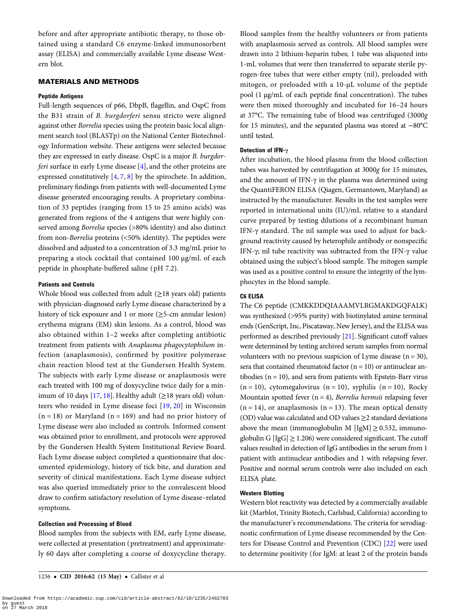before and after appropriate antibiotic therapy, to those obtained using a standard C6 enzyme-linked immunosorbent assay (ELISA) and commercially available Lyme disease Western blot.

# MATERIALS AND METHODS

## Peptide Antigens

Full-length sequences of p66, DbpB, flagellin, and OspC from the B31 strain of B. burgdorferi sensu stricto were aligned against other Borrelia species using the protein basic local alignment search tool (BLASTp) on the National Center Biotechnology Information website. These antigens were selected because they are expressed in early disease. OspC is a major B. burgdorferi surface in early Lyme disease [[4](#page-6-0)], and the other proteins are expressed constitutively [[4](#page-6-0), [7,](#page-6-0) [8\]](#page-6-0) by the spirochete. In addition, preliminary findings from patients with well-documented Lyme disease generated encouraging results. A proprietary combination of 33 peptides (ranging from 15 to 25 amino acids) was generated from regions of the 4 antigens that were highly conserved among Borrelia species (>80% identity) and also distinct from non-Borrelia proteins (<50% identity). The peptides were dissolved and adjusted to a concentration of 3.3 mg/mL prior to preparing a stock cocktail that contained 100 µg/mL of each peptide in phosphate-buffered saline ( pH 7.2).

# Patients and Controls

Whole blood was collected from adult  $(\geq 18$  years old) patients with physician-diagnosed early Lyme disease characterized by a history of tick exposure and 1 or more (≥5-cm annular lesion) erythema migrans (EM) skin lesions. As a control, blood was also obtained within 1–2 weeks after completing antibiotic treatment from patients with Anaplasma phagocytophilum infection (anaplasmosis), confirmed by positive polymerase chain reaction blood test at the Gundersen Health System. The subjects with early Lyme disease or anaplasmosis were each treated with 100 mg of doxycycline twice daily for a min-imum of 10 days [\[17](#page-6-0), [18](#page-6-0)]. Healthy adult ( $\geq$ 18 years old) volunteers who resided in Lyme disease foci [[19](#page-6-0), [20](#page-6-0)] in Wisconsin  $(n = 18)$  or Maryland  $(n = 169)$  and had no prior history of Lyme disease were also included as controls. Informed consent was obtained prior to enrollment, and protocols were approved by the Gundersen Health System Institutional Review Board. Each Lyme disease subject completed a questionnaire that documented epidemiology, history of tick bite, and duration and severity of clinical manifestations. Each Lyme disease subject was also queried immediately prior to the convalescent blood draw to confirm satisfactory resolution of Lyme disease–related symptoms.

## Collection and Processing of Blood

Blood samples from the subjects with EM, early Lyme disease, were collected at presentation ( pretreatment) and approximately 60 days after completing a course of doxycycline therapy. Blood samples from the healthy volunteers or from patients with anaplasmosis served as controls. All blood samples were drawn into 2 lithium-heparin tubes; 1 tube was aliquoted into 1-mL volumes that were then transferred to separate sterile pyrogen-free tubes that were either empty (nil), preloaded with mitogen, or preloaded with a 10-µL volume of the peptide pool (1 µg/mL of each peptide final concentration). The tubes were then mixed thoroughly and incubated for 16–24 hours at 37°C. The remaining tube of blood was centrifuged (3000g for 15 minutes), and the separated plasma was stored at −80°C until tested.

# Detection of IFN-γ

After incubation, the blood plasma from the blood collection tubes was harvested by centrifugation at 3000g for 15 minutes, and the amount of IFN-γ in the plasma was determined using the QuantiFERON ELISA (Qiagen, Germantown, Maryland) as instructed by the manufacturer. Results in the test samples were reported in international units (IU)/mL relative to a standard curve prepared by testing dilutions of a recombinant human IFN-γ standard. The nil sample was used to adjust for background reactivity caused by heterophile antibody or nonspecific IFN-γ; nil tube reactivity was subtracted from the IFN-γ value obtained using the subject's blood sample. The mitogen sample was used as a positive control to ensure the integrity of the lymphocytes in the blood sample.

## C6 ELISA

The C6 peptide (CMKKDDQIAAAMVLRGMAKDGQFALK) was synthesized (>95% purity) with biotinylated amine terminal ends (GenScript, Inc, Piscataway, New Jersey), and the ELISA was performed as described previously [\[21](#page-6-0)]. Significant cutoff values were determined by testing archived serum samples from normal volunteers with no previous suspicion of Lyme disease  $(n = 30)$ , sera that contained rheumatoid factor ( $n = 10$ ) or antinuclear antibodies ( $n = 10$ ), and sera from patients with Epstein-Barr virus  $(n = 10)$ , cytomegalovirus  $(n = 10)$ , syphilis  $(n = 10)$ , Rocky Mountain spotted fever  $(n = 4)$ , Borrelia hermsii relapsing fever  $(n = 14)$ , or anaplasmosis  $(n = 13)$ . The mean optical density (OD) value was calculated and OD values  $\geq$ 2 standard deviations above the mean (immunoglobulin M [IgM]  $\geq$  0.532, immunoglobulin G  $[\text{IgG}] \geq 1.206$ ) were considered significant. The cutoff values resulted in detection of IgG antibodies in the serum from 1 patient with antinuclear antibodies and 1 with relapsing fever. Positive and normal serum controls were also included on each ELISA plate.

# Western Blotting

Western blot reactivity was detected by a commercially available kit (Marblot, Trinity Biotech, Carlsbad, California) according to the manufacturer's recommendations. The criteria for serodiagnostic confirmation of Lyme disease recommended by the Centers for Disease Control and Prevention (CDC) [\[22](#page-6-0)] were used to determine positivity (for IgM: at least 2 of the protein bands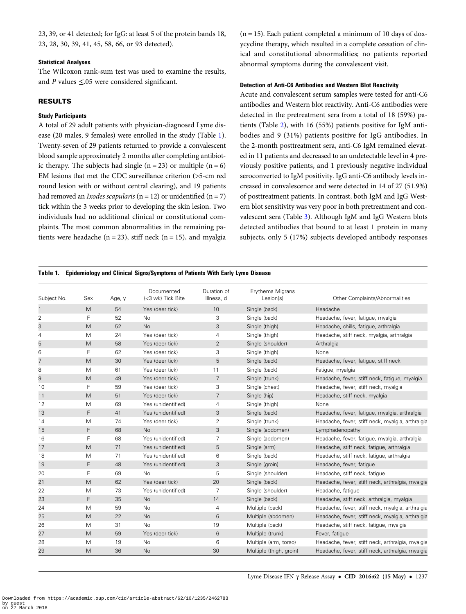<span id="page-2-0"></span>23, 39, or 41 detected; for IgG: at least 5 of the protein bands 18, 23, 28, 30, 39, 41, 45, 58, 66, or 93 detected).

# Statistical Analyses

The Wilcoxon rank-sum test was used to examine the results, and P values  $\leq 0.05$  were considered significant.

# RESULTS

#### Study Participants

A total of 29 adult patients with physician-diagnosed Lyme disease (20 males, 9 females) were enrolled in the study (Table 1). Twenty-seven of 29 patients returned to provide a convalescent blood sample approximately 2 months after completing antibiotic therapy. The subjects had single  $(n = 23)$  or multiple  $(n = 6)$ EM lesions that met the CDC surveillance criterion (>5-cm red round lesion with or without central clearing), and 19 patients had removed an *Ixodes scapularis* ( $n = 12$ ) or unidentified ( $n = 7$ ) tick within the 3 weeks prior to developing the skin lesion. Two individuals had no additional clinical or constitutional complaints. The most common abnormalities in the remaining patients were headache ( $n = 23$ ), stiff neck ( $n = 15$ ), and myalgia

 $(n = 15)$ . Each patient completed a minimum of 10 days of doxycycline therapy, which resulted in a complete cessation of clinical and constitutional abnormalities; no patients reported abnormal symptoms during the convalescent visit.

## Detection of Anti-C6 Antibodies and Western Blot Reactivity

Acute and convalescent serum samples were tested for anti-C6 antibodies and Western blot reactivity. Anti-C6 antibodies were detected in the pretreatment sera from a total of 18 (59%) patients (Table [2\)](#page-3-0), with 16 (55%) patients positive for IgM antibodies and 9 (31%) patients positive for IgG antibodies. In the 2-month posttreatment sera, anti-C6 IgM remained elevated in 11 patients and decreased to an undetectable level in 4 previously positive patients, and 1 previously negative individual seroconverted to IgM positivity. IgG anti-C6 antibody levels increased in convalescence and were detected in 14 of 27 (51.9%) of posttreatment patients. In contrast, both IgM and IgG Western blot sensitivity was very poor in both pretreatment and convalescent sera (Table [3](#page-4-0)). Although IgM and IgG Western blots detected antibodies that bound to at least 1 protein in many subjects, only 5 (17%) subjects developed antibody responses

## Table 1. Epidemiology and Clinical Signs/Symptoms of Patients With Early Lyme Disease

| Subject No. | Sex | Age, y | Documented<br>(<3 wk) Tick Bite | Duration of<br>Illness, d | Erythema Migrans<br>Lesion(s) | Other Complaints/Abnormalities                   |
|-------------|-----|--------|---------------------------------|---------------------------|-------------------------------|--------------------------------------------------|
| 1           | M   | 54     | Yes (deer tick)                 | 10                        | Single (back)                 | Headache                                         |
| 2           | F   | 52     | <b>No</b>                       | 3                         | Single (back)                 | Headache, fever, fatigue, myalgia                |
| 3           | M   | 52     | <b>No</b>                       | 3                         | Single (thigh)                | Headache, chills, fatigue, arthralgia            |
| 4           | M   | 24     | Yes (deer tick)                 | 4                         | Single (thigh)                | Headache, stiff neck, myalgia, arthralgia        |
| 5           | M   | 58     | Yes (deer tick)                 | 2                         | Single (shoulder)             | Arthralgia                                       |
| 6           | F   | 62     | Yes (deer tick)                 | 3                         | Single (thigh)                | None                                             |
| 7           | M   | 30     | Yes (deer tick)                 | 5                         | Single (back)                 | Headache, fever, fatique, stiff neck             |
| 8           | M   | 61     | Yes (deer tick)                 | 11                        | Single (back)                 | Fatique, myalgia                                 |
| 9           | M   | 49     | Yes (deer tick)                 | 7                         | Single (trunk)                | Headache, fever, stiff neck, fatique, myalgia    |
| 10          | F   | 59     | Yes (deer tick)                 | 3                         | Single (chest)                | Headache, fever, stiff neck, myalgia             |
| 11          | M   | 51     | Yes (deer tick)                 | 7                         | Single (hip)                  | Headache, stiff neck, myalgia                    |
| 12          | M   | 69     | Yes (unidentified)              | $\overline{4}$            | Single (thigh)                | None                                             |
| 13          | F   | 41     | Yes (unidentified)              | 3                         | Single (back)                 | Headache, fever, fatigue, myalgia, arthralgia    |
| 14          | M   | 74     | Yes (deer tick)                 | $\overline{2}$            | Single (trunk)                | Headache, fever, stiff neck, myalgia, arthralgia |
| 15          | F   | 68     | <b>No</b>                       | 3                         | Single (abdomen)              | Lymphadenopathy                                  |
| 16          | F   | 68     | Yes (unidentified)              | $\overline{7}$            | Single (abdomen)              | Headache, fever, fatique, myalgia, arthralgia    |
| 17          | M   | 71     | Yes (unidentified)              | 5                         | Single (arm)                  | Headache, stiff neck, fatique, arthralgia        |
| 18          | M   | 71     | Yes (unidentified)              | 6                         | Single (back)                 | Headache, stiff neck, fatigue, arthralgia        |
| 19          | F   | 48     | Yes (unidentified)              | 3                         | Single (groin)                | Headache, fever, fatigue                         |
| 20          | F   | 69     | <b>No</b>                       | 5                         | Single (shoulder)             | Headache, stiff neck, fatique                    |
| 21          | M   | 62     | Yes (deer tick)                 | 20                        | Single (back)                 | Headache, fever, stiff neck, arthralgia, myalgia |
| 22          | M   | 73     | Yes (unidentified)              | $\overline{7}$            | Single (shoulder)             | Headache, fatique                                |
| 23          | F   | 35     | <b>No</b>                       | 14                        | Single (back)                 | Headache, stiff neck, arthralgia, myalgia        |
| 24          | M   | 59     | <b>No</b>                       | $\overline{4}$            | Multiple (back)               | Headache, fever, stiff neck, myalgia, arthralgia |
| 25          | M   | 22     | <b>No</b>                       | 6                         | Multiple (abdomen)            | Headache, fever, stiff neck, myalgia, arthralgia |
| 26          | M   | 31     | <b>No</b>                       | 19                        | Multiple (back)               | Headache, stiff neck, fatique, myalqia           |
| 27          | M   | 59     | Yes (deer tick)                 | $\,6$                     | Multiple (trunk)              | Fever, fatigue                                   |
| 28          | M   | 19     | <b>No</b>                       | 6                         | Multiple (arm, torso)         | Headache, fever, stiff neck, arthralgia, myalgia |
| 29          | M   | 36     | <b>No</b>                       | 30                        | Multiple (thigh, groin)       | Headache, fever, stiff neck, arthralgia, myalgia |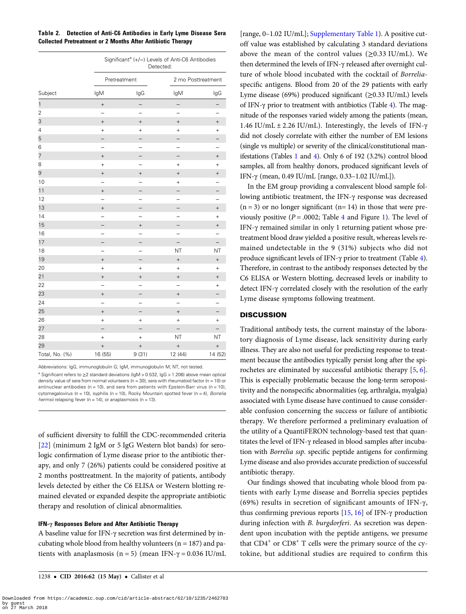<span id="page-3-0"></span>

| Table 2. Detection of Anti-C6 Antibodies in Early Lyme Disease Sera |
|---------------------------------------------------------------------|
| <b>Collected Pretreatment or 2 Months After Antibiotic Therapy</b>  |

|                | Significant <sup>a</sup> (+/-) Levels of Anti-C6 Antibodies<br>Detected: |                   |                          |           |  |
|----------------|--------------------------------------------------------------------------|-------------------|--------------------------|-----------|--|
|                | Pretreatment                                                             |                   | 2 mo Posttreatment       |           |  |
| Subject        | lgM                                                                      | lgG               | lgM                      | lgG       |  |
| $\mathbf{1}$   | $\! + \!$                                                                |                   | $\overline{\phantom{0}}$ |           |  |
| $\overline{c}$ |                                                                          |                   |                          |           |  |
| 3              | $\! + \!$                                                                | $^{+}$            |                          | $^{+}$    |  |
| 4              | $^{+}$                                                                   | $^{+}$            | $\ddot{}$                | $^{+}$    |  |
| 5              |                                                                          |                   |                          |           |  |
| 6              |                                                                          |                   |                          |           |  |
| 7              | $^{+}$                                                                   |                   |                          | $^{+}$    |  |
| 8              | $^{+}$                                                                   |                   | $\ddot{}$                | $^{+}$    |  |
| 9              | $^{+}$                                                                   | $\qquad \qquad +$ | $\! +$                   | $^{+}$    |  |
| 10             |                                                                          |                   | $\ddot{}$                |           |  |
| 11             | $^{+}$                                                                   |                   |                          |           |  |
| 12             |                                                                          |                   |                          |           |  |
| 13             | $^{+}$                                                                   |                   | -                        | $^{+}$    |  |
| 14             |                                                                          |                   | $\overline{\phantom{0}}$ | $^{+}$    |  |
| 15             |                                                                          | $\! + \!$         |                          | $^{+}$    |  |
| 16             | -                                                                        |                   | <sup>-</sup>             |           |  |
| 17             |                                                                          |                   |                          |           |  |
| 18             | $\overline{\phantom{0}}$                                                 |                   | NT                       | NT        |  |
| 19             | $^{+}$                                                                   |                   | $\! + \!$                | $^{+}$    |  |
| 20             | $^{+}$                                                                   | $^{+}$            | $^{+}$                   | $^{+}$    |  |
| 21             | $^{+}$                                                                   | $^{+}$            | $^{+}$                   | $^{+}$    |  |
| 22             |                                                                          |                   |                          | $\ddot{}$ |  |
| 23             | $^{+}$                                                                   |                   | $^{+}$                   |           |  |
| 24             | ⋍                                                                        |                   |                          |           |  |
| 25             | $^{+}$                                                                   |                   | $^{+}$                   |           |  |
| 26             | $^{+}$                                                                   | $^{+}$            | $^{+}$                   | $^{+}$    |  |
| 27             | $\overline{\phantom{0}}$                                                 |                   | $\overline{\phantom{0}}$ |           |  |
| 28             | $^{+}$                                                                   | $^{+}$            | NT                       | NT        |  |
| 29             | $^{+}$                                                                   | $\! + \!$         | $\qquad \qquad +$        | $^{+}$    |  |
| Total, No. (%) | 16 (55)                                                                  | 9(31)             | 12 (44)                  | 14 (52)   |  |

Abbreviations: IgG, immunoglobulin G; IgM, immunoglobulin M; NT, not tested.

<sup>a</sup> Significant refers to ≥2 standard deviations (IgM > 0.532, IgG > 1.206) above mean optical density value of sera from normal volunteers ( $n = 30$ ), sera with rheumatoid factor ( $n = 10$ ) or antinuclear antibodies ( $n = 10$ ), and sera from patients with Epstein-Barr virus ( $n = 10$ ), cytomegalovirus (n = 10), syphilis (n = 10), Rocky Mountain spotted fever (n = 4), Borrelia hermsii relapsing fever (n = 14), or anaplasmosis (n = 13).

of sufficient diversity to fulfill the CDC-recommended criteria [\[22](#page-6-0)] (minimum 2 IgM or 5 IgG Western blot bands) for serologic confirmation of Lyme disease prior to the antibiotic therapy, and only 7 (26%) patients could be considered positive at 2 months posttreatment. In the majority of patients, antibody levels detected by either the C6 ELISA or Western blotting remained elevated or expanded despite the appropriate antibiotic therapy and resolution of clinical abnormalities.

# IFN-γ Responses Before and After Antibiotic Therapy

A baseline value for IFN-γ secretion was first determined by incubating whole blood from healthy volunteers ( $n = 187$ ) and patients with anaplasmosis (n = 5) (mean IFN- $\gamma$  = 0.036 IU/mL

[range, 0–1.02 IU/mL]; [Supplementary Table 1](http://cid.oxfordjournals.org/lookup/suppl/doi:10.1093/cid/ciw112/-/DC1)). A positive cutoff value was established by calculating 3 standard deviations above the mean of the control values  $(\geq 0.33 \text{ IU/mL})$ . We then determined the levels of IFN-γ released after overnight culture of whole blood incubated with the cocktail of Borreliaspecific antigens. Blood from 20 of the 29 patients with early Lyme disease (69%) produced significant ( $\geq$ 0.33 IU/mL) levels of IFN-γ prior to treatment with antibiotics (Table [4\)](#page-5-0). The magnitude of the responses varied widely among the patients (mean, 1.46 IU/mL  $\pm$  2.26 IU/mL). Interestingly, the levels of IFN- $\gamma$ did not closely correlate with either the number of EM lesions (single vs multiple) or severity of the clinical/constitutional manifestations (Tables [1](#page-2-0) and [4\)](#page-5-0). Only 6 of 192 (3.2%) control blood samples, all from healthy donors, produced significant levels of IFN-γ (mean, 0.49 IU/mL [range, 0.33–1.02 IU/mL]).

In the EM group providing a convalescent blood sample following antibiotic treatment, the IFN-γ response was decreased  $(n = 3)$  or no longer significant  $(n = 14)$  in those that were previously positive ( $P = .0002$ ; Table [4](#page-5-0) and Figure [1](#page-5-0)). The level of IFN-γ remained similar in only 1 returning patient whose pretreatment blood draw yielded a positive result, whereas levels remained undetectable in the 9 (31%) subjects who did not produce significant levels of IFN-γ prior to treatment (Table [4\)](#page-5-0). Therefore, in contrast to the antibody responses detected by the C6 ELISA or Western blotting, decreased levels or inability to detect IFN-γ correlated closely with the resolution of the early Lyme disease symptoms following treatment.

## **DISCUSSION**

Traditional antibody tests, the current mainstay of the laboratory diagnosis of Lyme disease, lack sensitivity during early illness. They are also not useful for predicting response to treatment because the antibodies typically persist long after the spirochetes are eliminated by successful antibiotic therapy [[5,](#page-6-0) [6\]](#page-6-0). This is especially problematic because the long-term seropositivity and the nonspecific abnormalities (eg, arthralgia, myalgia) associated with Lyme disease have continued to cause considerable confusion concerning the success or failure of antibiotic therapy. We therefore performed a preliminary evaluation of the utility of a QuantiFERON technology-based test that quantitates the level of IFN-γ released in blood samples after incubation with Borrelia ssp. specific peptide antigens for confirming Lyme disease and also provides accurate prediction of successful antibiotic therapy.

Our findings showed that incubating whole blood from patients with early Lyme disease and Borrelia species peptides (69%) results in secretion of significant amounts of IFN-γ, thus confirming previous reports  $[15, 16]$  $[15, 16]$  $[15, 16]$  of IFN- $\gamma$  production during infection with B. burgdorferi. As secretion was dependent upon incubation with the peptide antigens, we presume that  $CD4^+$  or  $CD8^+$  T cells were the primary source of the cytokine, but additional studies are required to confirm this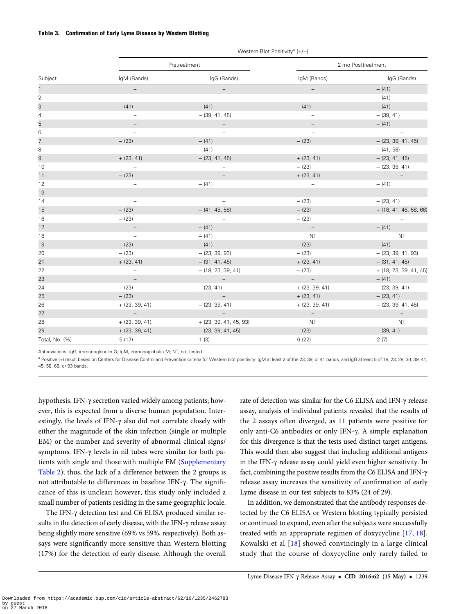#### <span id="page-4-0"></span>Table 3. Confirmation of Early Lyme Disease by Western Blotting

|                | Western Blot Positivity <sup>a</sup> (+/-) |                          |                          |                          |  |  |
|----------------|--------------------------------------------|--------------------------|--------------------------|--------------------------|--|--|
|                |                                            | Pretreatment             | 2 mo Posttreatment       |                          |  |  |
| Subject        | IgM (Bands)                                | IgG (Bands)              | IqM (Bands)              | IgG (Bands)              |  |  |
| $\mathbf{1}$   |                                            |                          |                          | $- (41)$                 |  |  |
| $\overline{2}$ | $\overline{\phantom{a}}$                   | $\overline{\phantom{a}}$ | $\overline{\phantom{a}}$ | $- (41)$                 |  |  |
| 3              | $- (41)$                                   | $- (41)$                 | $- (41)$                 | $- (41)$                 |  |  |
| $\sqrt{4}$     | $\overline{\phantom{a}}$                   | $-$ (39, 41, 45)         | $\qquad \qquad -$        | $-$ (39, 41)             |  |  |
| 5              | $\overline{\phantom{a}}$                   | $\overline{\phantom{a}}$ | $\overline{\phantom{a}}$ | $- (41)$                 |  |  |
| $\,6$          | $\overline{\phantom{a}}$                   | $\qquad \qquad -$        | $\overline{\phantom{0}}$ |                          |  |  |
| $\overline{7}$ | $- (23)$                                   | $- (41)$                 | $- (23)$                 | $-$ (23, 39, 41, 45)     |  |  |
| 8              | $\overline{\phantom{a}}$                   | $- (41)$                 | $\overline{\phantom{a}}$ | $-$ (41, 58)             |  |  |
| 9              | $+ (23, 41)$                               | $-$ (23, 41, 45)         | $+$ (23, 41)             | $-$ (23, 41, 45)         |  |  |
| 10             | $\overline{\phantom{a}}$                   | $\overline{\phantom{a}}$ | $- (23)$                 | $-$ (23, 39, 41)         |  |  |
| 11             | $- (23)$                                   |                          | $+ (23, 41)$             | $\overline{\phantom{a}}$ |  |  |
| 12             | $\qquad \qquad -$                          | $- (41)$                 | $\overline{\phantom{a}}$ | $- (41)$                 |  |  |
| 13             |                                            |                          |                          |                          |  |  |
| 14             | $\overline{\phantom{a}}$                   |                          | $- (23)$                 | $-$ (23, 41)             |  |  |
| 15             | $- (23)$                                   | $-$ (41, 45, 58)         | $- (23)$                 | + (18, 41, 45, 58, 66)   |  |  |
| 16             | $- (23)$                                   | $\overline{\phantom{a}}$ | $- (23)$                 |                          |  |  |
| 17             | $\qquad \qquad -$                          | $- (41)$                 | $\overline{\phantom{a}}$ | $- (41)$                 |  |  |
| 18             | $\overline{\phantom{a}}$                   | $- (41)$                 | <b>NT</b>                | <b>NT</b>                |  |  |
| 19             | $- (23)$                                   | $- (41)$                 | $- (23)$                 | $- (41)$                 |  |  |
| 20             | $- (23)$                                   | $-$ (23, 39, 93)         | $- (23)$                 | $-$ (23, 39, 41, 93)     |  |  |
| 21             | $+ (23, 41)$                               | $-$ (31, 41, 45)         | $+ (23, 41)$             | $-$ (31, 41, 45)         |  |  |
| 22             | $\overline{\phantom{a}}$                   | $-$ (18, 23, 39, 41)     | $- (23)$                 | $+$ (18, 23, 39, 41, 45) |  |  |
| 23             | $\overline{\phantom{a}}$                   | $\overline{\phantom{a}}$ | $\overline{\phantom{a}}$ | $- (41)$                 |  |  |
| 24             | $- (23)$                                   | $-$ (23, 41)             | $+$ (23, 39, 41)         | $-$ (23, 39, 41)         |  |  |
| 25             | $- (23)$                                   | $\overline{\phantom{a}}$ | $+ (23, 41)$             | $-$ (23, 41)             |  |  |
| 26             | $+$ (23, 39, 41)                           | $-$ (23, 39, 41)         | $+$ (23, 39, 41)         | $-$ (23, 39, 41, 45)     |  |  |
| 27             | $\overline{\phantom{a}}$                   | $\overline{\phantom{a}}$ | $\overline{\phantom{a}}$ | $\overline{\phantom{a}}$ |  |  |
| 28             | $+$ (23, 39, 41)                           | $+$ (23, 39, 41, 45, 93) | <b>NT</b>                | <b>NT</b>                |  |  |
| 29             | $+$ (23, 39, 41)                           | $-$ (23, 39, 41, 45)     | $- (23)$                 | $-$ (39, 41)             |  |  |
| Total, No. (%) | 5(17)                                      | 1(3)                     | 6(22)                    | 2(7)                     |  |  |

Abbreviations: IgG, immunoglobulin G; IgM, immunoglobulin M; NT, not tested.

<sup>a</sup> Positive (+) result based on Centers for Disease Control and Prevention criteria for Western blot positivity: IgM at least 2 of the 23, 39, or 41 bands, and IgG at least 5 of 18, 23, 28, 30, 39, 41, 45, 58, 66, or 93 bands.

hypothesis. IFN-γ secretion varied widely among patients; however, this is expected from a diverse human population. Interestingly, the levels of IFN-γ also did not correlate closely with either the magnitude of the skin infection (single or multiple EM) or the number and severity of abnormal clinical signs/ symptoms. IFN-γ levels in nil tubes were similar for both patients with single and those with multiple EM ([Supplementary](http://cid.oxfordjournals.org/lookup/suppl/doi:10.1093/cid/ciw112/-/DC1) [Table 2](http://cid.oxfordjournals.org/lookup/suppl/doi:10.1093/cid/ciw112/-/DC1)); thus, the lack of a difference between the 2 groups is not attributable to differences in baseline IFN-γ. The significance of this is unclear; however, this study only included a small number of patients residing in the same geographic locale.

The IFN-γ detection test and C6 ELISA produced similar results in the detection of early disease, with the IFN-γ release assay being slightly more sensitive (69% vs 59%, respectively). Both assays were significantly more sensitive than Western blotting (17%) for the detection of early disease. Although the overall

rate of detection was similar for the C6 ELISA and IFN-γ release assay, analysis of individual patients revealed that the results of the 2 assays often diverged, as 11 patients were positive for only anti-C6 antibodies or only IFN-γ. A simple explanation for this divergence is that the tests used distinct target antigens. This would then also suggest that including additional antigens in the IFN-γ release assay could yield even higher sensitivity. In fact, combining the positive results from the C6 ELISA and IFN-γ release assay increases the sensitivity of confirmation of early Lyme disease in our test subjects to 83% (24 of 29).

In addition, we demonstrated that the antibody responses detected by the C6 ELISA or Western blotting typically persisted or continued to expand, even after the subjects were successfully treated with an appropriate regimen of doxycycline [[17](#page-6-0), [18](#page-6-0)]. Kowalski et al [\[18\]](#page-6-0) showed convincingly in a large clinical study that the course of doxycycline only rarely failed to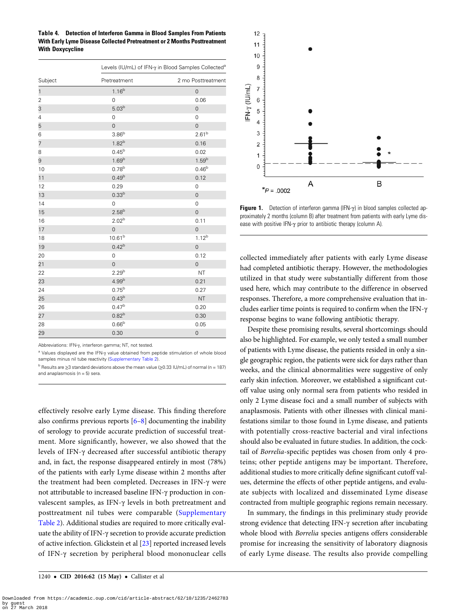<span id="page-5-0"></span>Table 4. Detection of Interferon Gamma in Blood Samples From Patients With Early Lyme Disease Collected Pretreatment or 2 Months Posttreatment With Doxycycline

|                | Levels (IU/mL) of IFN-y in Blood Samples Collected <sup>a</sup> |                     |  |  |
|----------------|-----------------------------------------------------------------|---------------------|--|--|
| Subject        | Pretreatment                                                    | 2 mo Posttreatment  |  |  |
| $\mathbf{1}$   | $1.16^{b}$                                                      | $\mathsf{O}\xspace$ |  |  |
| $\overline{c}$ | $\mathbf 0$                                                     | 0.06                |  |  |
| 3              | 5.03 <sup>b</sup>                                               | $\mathbf 0$         |  |  |
| 4              | $\mathsf{O}\xspace$                                             | 0                   |  |  |
| 5              | $\overline{0}$                                                  | $\mathbf 0$         |  |  |
| 6              | 3.86 <sup>b</sup>                                               | $2.61^{b}$          |  |  |
| 7              | 1.82 <sup>b</sup>                                               | 0.16                |  |  |
| 8              | $0.45^{b}$                                                      | 0.02                |  |  |
| 9              | 1.69 <sup>b</sup>                                               | $1.59^{b}$          |  |  |
| 10             | $0.78^{b}$                                                      | $0.46^{b}$          |  |  |
| 11             | $0.49^{b}$                                                      | 0.12                |  |  |
| 12             | 0.29                                                            | $\mathsf 0$         |  |  |
| 13             | 0.33 <sup>b</sup>                                               | $\mathsf{O}\xspace$ |  |  |
| 14             | $\mathbf 0$                                                     | $\mathbf 0$         |  |  |
| 15             | $2.58^{b}$                                                      | $\mathbf 0$         |  |  |
| 16             | 2.02 <sup>b</sup>                                               | 0.11                |  |  |
| 17             | $\overline{O}$                                                  | $\mathbf 0$         |  |  |
| 18             | 10.61 <sup>b</sup>                                              | $1.12^{b}$          |  |  |
| 19             | 0.42 <sup>b</sup>                                               | $\mathbf 0$         |  |  |
| 20             | $\mathsf{O}\xspace$                                             | 0.12                |  |  |
| 21             | $\mathbf 0$                                                     | $\mathbf 0$         |  |  |
| 22             | 2.29 <sup>b</sup>                                               | <b>NT</b>           |  |  |
| 23             | 4.99 <sup>b</sup>                                               | 0.21                |  |  |
| 24             | $0.75^{b}$                                                      | 0.27                |  |  |
| 25             | 0.43 <sup>b</sup>                                               | <b>NT</b>           |  |  |
| 26             | $0.47^{\rm b}$                                                  | 0.20                |  |  |
| 27             | 0.82 <sup>b</sup>                                               | 0.30                |  |  |
| 28             | 0.66 <sup>b</sup>                                               | 0.05                |  |  |
| 29             | 0.30                                                            | $\mathbf 0$         |  |  |

Abbreviations: IFN-γ, interferon gamma; NT, not tested.

<sup>a</sup> Values displayed are the IFN-γ value obtained from peptide stimulation of whole blood samples minus nil tube reactivity [\(Supplementary Table 2](http://cid.oxfordjournals.org/lookup/suppl/doi:10.1093/cid/ciw112/-/DC1)).

<sup>b</sup> Results are ≥3 standard deviations above the mean value (≥0.33 IU/mL) of normal (n = 187) and anaplasmosis ( $n = 5$ ) sera.

effectively resolve early Lyme disease. This finding therefore also confirms previous reports  $[6-8]$  $[6-8]$  $[6-8]$  $[6-8]$  documenting the inability of serology to provide accurate prediction of successful treatment. More significantly, however, we also showed that the levels of IFN-γ decreased after successful antibiotic therapy and, in fact, the response disappeared entirely in most (78%) of the patients with early Lyme disease within 2 months after the treatment had been completed. Decreases in IFN-γ were not attributable to increased baseline IFN-γ production in convalescent samples, as IFN-γ levels in both pretreatment and posttreatment nil tubes were comparable ([Supplementary](http://cid.oxfordjournals.org/lookup/suppl/doi:10.1093/cid/ciw112/-/DC1) [Table 2\)](http://cid.oxfordjournals.org/lookup/suppl/doi:10.1093/cid/ciw112/-/DC1). Additional studies are required to more critically evaluate the ability of IFN-γ secretion to provide accurate prediction of active infection. Glickstein et al [\[23](#page-6-0)] reported increased levels of IFN-γ secretion by peripheral blood mononuclear cells



Figure 1. Detection of interferon gamma (IFN- $\gamma$ ) in blood samples collected approximately 2 months (column B) after treatment from patients with early Lyme disease with positive IFN-γ prior to antibiotic therapy (column A).

collected immediately after patients with early Lyme disease had completed antibiotic therapy. However, the methodologies utilized in that study were substantially different from those used here, which may contribute to the difference in observed responses. Therefore, a more comprehensive evaluation that includes earlier time points is required to confirm when the IFN-γ response begins to wane following antibiotic therapy.

Despite these promising results, several shortcomings should also be highlighted. For example, we only tested a small number of patients with Lyme disease, the patients resided in only a single geographic region, the patients were sick for days rather than weeks, and the clinical abnormalities were suggestive of only early skin infection. Moreover, we established a significant cutoff value using only normal sera from patients who resided in only 2 Lyme disease foci and a small number of subjects with anaplasmosis. Patients with other illnesses with clinical manifestations similar to those found in Lyme disease, and patients with potentially cross-reactive bacterial and viral infections should also be evaluated in future studies. In addition, the cocktail of Borrelia-specific peptides was chosen from only 4 proteins; other peptide antigens may be important. Therefore, additional studies to more critically define significant cutoff values, determine the effects of other peptide antigens, and evaluate subjects with localized and disseminated Lyme disease contracted from multiple geographic regions remain necessary.

In summary, the findings in this preliminary study provide strong evidence that detecting IFN-γ secretion after incubating whole blood with Borrelia species antigens offers considerable promise for increasing the sensitivity of laboratory diagnosis of early Lyme disease. The results also provide compelling